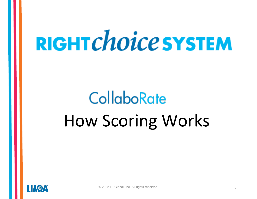# RIGHT Choice SYSTEM

## **CollaboRate** How Scoring Works

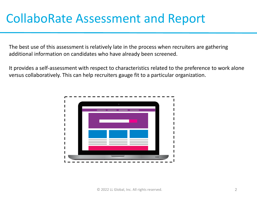## CollaboRate Assessment and Report

The best use of this assessment is relatively late in the process when recruiters are gathering additional information on candidates who have already been screened.

It provides a self-assessment with respect to characteristics related to the preference to work alone versus collaboratively. This can help recruiters gauge fit to a particular organization.

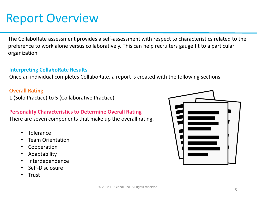### Report Overview

The CollaboRate assessment provides a self-assessment with respect to characteristics related to the preference to work alone versus collaboratively. This can help recruiters gauge fit to a particular organization

#### **Interpreting CollaboRate Results**

Once an individual completes CollaboRate, a report is created with the following sections.

#### **Overall Rating**

1 (Solo Practice) to 5 (Collaborative Practice)

#### **Personality Characteristics to Determine Overall Rating**

There are seven components that make up the overall rating.

- **Tolerance**
- Team Orientation
- **Cooperation**
- **Adaptability**
- **Interdependence**
- Self-Disclosure
- Trust

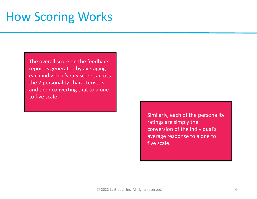The overall score on the feedback report is generated by averaging each individual's raw scores across the 7 personality characteristics and then converting that to a one to five scale.

> Similarly, each of the personality ratings are simply the conversion of the individual's average response to a one to five scale.